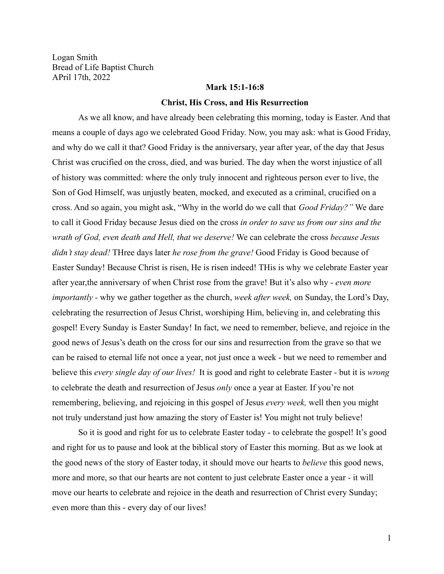Logan Smith Bread of Life Baptist Church APril 17th, 2022

## **Mark 15:1-16:8**

#### **Christ, His Cross, and His Resurrection**

As we all know, and have already been celebrating this morning, today is Easter. And that means a couple of days ago we celebrated Good Friday. Now, you may ask: what is Good Friday, and why do we call it that? Good Friday is the anniversary, year after year, of the day that Jesus Christ was crucified on the cross, died, and was buried. The day when the worst injustice of all of history was committed: where the only truly innocent and righteous person ever to live, the Son of God Himself, was unjustly beaten, mocked, and executed as a criminal, crucified on a cross. And so again, you might ask, "Why in the world do we call that *Good Friday?"* We dare to call it Good Friday because Jesus died on the cross *in order to save us from our sins and the wrath of God, even death and Hell, that we deserve!* We can celebrate the cross *because Jesus didn't stay dead!* THree days later *he rose from the grave!* Good Friday is Good because of Easter Sunday! Because Christ is risen, He is risen indeed! THis is why we celebrate Easter year after year,the anniversary of when Christ rose from the grave! But it's also why - *even more importantly -* why we gather together as the church, *week after week,* on Sunday, the Lord's Day, celebrating the resurrection of Jesus Christ, worshiping Him, believing in, and celebrating this gospel! Every Sunday is Easter Sunday! In fact, we need to remember, believe, and rejoice in the good news of Jesus's death on the cross for our sins and resurrection from the grave so that we can be raised to eternal life not once a year, not just once a week - but we need to remember and believe this *every single day of our lives!* It is good and right to celebrate Easter - but it is *wrong* to celebrate the death and resurrection of Jesus *only* once a year at Easter. If you're not remembering, believing, and rejoicing in this gospel of Jesus *every week,* well then you might not truly understand just how amazing the story of Easter is! You might not truly believe!

So it is good and right for us to celebrate Easter today - to celebrate the gospel! It's good and right for us to pause and look at the biblical story of Easter this morning. But as we look at the good news of the story of Easter today, it should move our hearts to *believe* this good news, more and more, so that our hearts are not content to just celebrate Easter once a year - it will move our hearts to celebrate and rejoice in the death and resurrection of Christ every Sunday; even more than this - every day of our lives!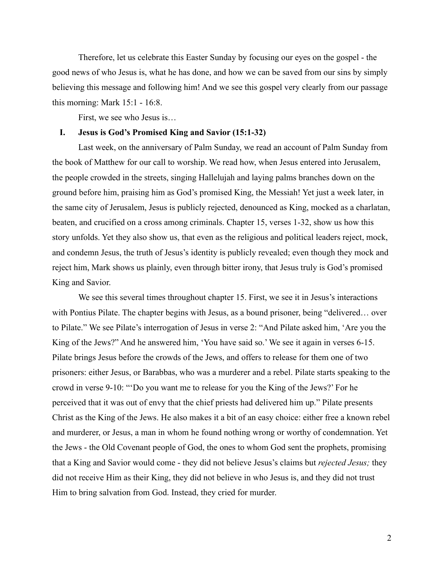Therefore, let us celebrate this Easter Sunday by focusing our eyes on the gospel - the good news of who Jesus is, what he has done, and how we can be saved from our sins by simply believing this message and following him! And we see this gospel very clearly from our passage this morning: Mark 15:1 - 16:8.

First, we see who Jesus is…

# **I. Jesus is God's Promised King and Savior (15:1-32)**

Last week, on the anniversary of Palm Sunday, we read an account of Palm Sunday from the book of Matthew for our call to worship. We read how, when Jesus entered into Jerusalem, the people crowded in the streets, singing Hallelujah and laying palms branches down on the ground before him, praising him as God's promised King, the Messiah! Yet just a week later, in the same city of Jerusalem, Jesus is publicly rejected, denounced as King, mocked as a charlatan, beaten, and crucified on a cross among criminals. Chapter 15, verses 1-32, show us how this story unfolds. Yet they also show us, that even as the religious and political leaders reject, mock, and condemn Jesus, the truth of Jesus's identity is publicly revealed; even though they mock and reject him, Mark shows us plainly, even through bitter irony, that Jesus truly is God's promised King and Savior.

We see this several times throughout chapter 15. First, we see it in Jesus's interactions with Pontius Pilate. The chapter begins with Jesus, as a bound prisoner, being "delivered... over to Pilate." We see Pilate's interrogation of Jesus in verse 2: "And Pilate asked him, 'Are you the King of the Jews?" And he answered him, 'You have said so.' We see it again in verses 6-15. Pilate brings Jesus before the crowds of the Jews, and offers to release for them one of two prisoners: either Jesus, or Barabbas, who was a murderer and a rebel. Pilate starts speaking to the crowd in verse 9-10: "'Do you want me to release for you the King of the Jews?' For he perceived that it was out of envy that the chief priests had delivered him up." Pilate presents Christ as the King of the Jews. He also makes it a bit of an easy choice: either free a known rebel and murderer, or Jesus, a man in whom he found nothing wrong or worthy of condemnation. Yet the Jews - the Old Covenant people of God, the ones to whom God sent the prophets, promising that a King and Savior would come - they did not believe Jesus's claims but *rejected Jesus;* they did not receive Him as their King, they did not believe in who Jesus is, and they did not trust Him to bring salvation from God. Instead, they cried for murder.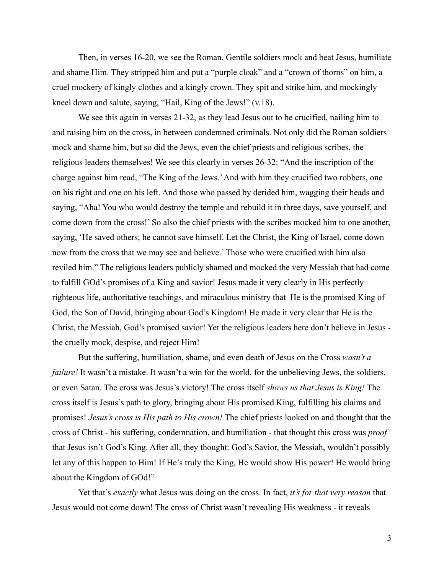Then, in verses 16-20, we see the Roman, Gentile soldiers mock and beat Jesus, humiliate and shame Him. They stripped him and put a "purple cloak" and a "crown of thorns" on him, a cruel mockery of kingly clothes and a kingly crown. They spit and strike him, and mockingly kneel down and salute, saying, "Hail, King of the Jews!" (v.18).

We see this again in verses 21-32, as they lead Jesus out to be crucified, nailing him to and raising him on the cross, in between condemned criminals. Not only did the Roman soldiers mock and shame him, but so did the Jews, even the chief priests and religious scribes, the religious leaders themselves! We see this clearly in verses 26-32: "And the inscription of the charge against him read, "The King of the Jews.'And with him they crucified two robbers, one on his right and one on his left. And those who passed by derided him, wagging their heads and saying, "Aha! You who would destroy the temple and rebuild it in three days, save yourself, and come down from the cross!' So also the chief priests with the scribes mocked him to one another, saying, 'He saved others; he cannot save himself. Let the Christ, the King of Israel, come down now from the cross that we may see and believe.' Those who were crucified with him also reviled him." The religious leaders publicly shamed and mocked the very Messiah that had come to fulfill GOd's promises of a King and savior! Jesus made it very clearly in His perfectly righteous life, authoritative teachings, and miraculous ministry that He is the promised King of God, the Son of David, bringing about God's Kingdom! He made it very clear that He is the Christ, the Messiah, God's promised savior! Yet the religious leaders here don't believe in Jesus the cruelly mock, despise, and reject Him!

But the suffering, humiliation, shame, and even death of Jesus on the Cross *wasn't a failure!* It wasn't a mistake. It wasn't a win for the world, for the unbelieving Jews, the soldiers, or even Satan. The cross was Jesus's victory! The cross itself *shows us that Jesus is King!* The cross itself is Jesus's path to glory, bringing about His promised King, fulfilling his claims and promises! *Jesus's cross is His path to His crown!* The chief priests looked on and thought that the cross of Christ - his suffering, condemnation, and humiliation - that thought this cross was *proof* that Jesus isn't God's King. After all, they thought: God's Savior, the Messiah, wouldn't possibly let any of this happen to Him! If He's truly the King, He would show His power! He would bring about the Kingdom of GOd!"

Yet that's *exactly* what Jesus was doing on the cross. In fact, *it's for that very reason* that Jesus would not come down! The cross of Christ wasn't revealing His weakness - it reveals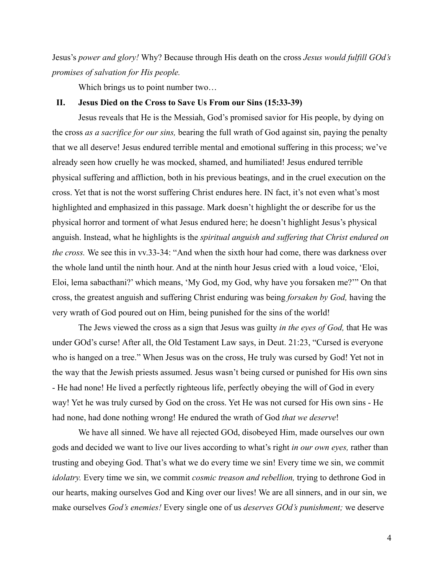Jesus's *power and glory!* Why? Because through His death on the cross *Jesus would fulfill GOd's promises of salvation for His people.*

Which brings us to point number two...

#### **II. Jesus Died on the Cross to Save Us From our Sins (15:33-39)**

Jesus reveals that He is the Messiah, God's promised savior for His people, by dying on the cross *as a sacrifice for our sins,* bearing the full wrath of God against sin, paying the penalty that we all deserve! Jesus endured terrible mental and emotional suffering in this process; we've already seen how cruelly he was mocked, shamed, and humiliated! Jesus endured terrible physical suffering and affliction, both in his previous beatings, and in the cruel execution on the cross. Yet that is not the worst suffering Christ endures here. IN fact, it's not even what's most highlighted and emphasized in this passage. Mark doesn't highlight the or describe for us the physical horror and torment of what Jesus endured here; he doesn't highlight Jesus's physical anguish. Instead, what he highlights is the *spiritual anguish and suffering that Christ endured on the cross.* We see this in vv.33-34: "And when the sixth hour had come, there was darkness over the whole land until the ninth hour. And at the ninth hour Jesus cried with a loud voice, 'Eloi, Eloi, lema sabacthani?' which means, 'My God, my God, why have you forsaken me?'" On that cross, the greatest anguish and suffering Christ enduring was being *forsaken by God,* having the very wrath of God poured out on Him, being punished for the sins of the world!

The Jews viewed the cross as a sign that Jesus was guilty *in the eyes of God,* that He was under GOd's curse! After all, the Old Testament Law says, in Deut. 21:23, "Cursed is everyone who is hanged on a tree." When Jesus was on the cross, He truly was cursed by God! Yet not in the way that the Jewish priests assumed. Jesus wasn't being cursed or punished for His own sins - He had none! He lived a perfectly righteous life, perfectly obeying the will of God in every way! Yet he was truly cursed by God on the cross. Yet He was not cursed for His own sins - He had none, had done nothing wrong! He endured the wrath of God *that we deserve*!

We have all sinned. We have all rejected GOd, disobeyed Him, made ourselves our own gods and decided we want to live our lives according to what's right *in our own eyes,* rather than trusting and obeying God. That's what we do every time we sin! Every time we sin, we commit *idolatry.* Every time we sin, we commit *cosmic treason and rebellion,* trying to dethrone God in our hearts, making ourselves God and King over our lives! We are all sinners, and in our sin, we make ourselves *God's enemies!* Every single one of us *deserves GOd's punishment;* we deserve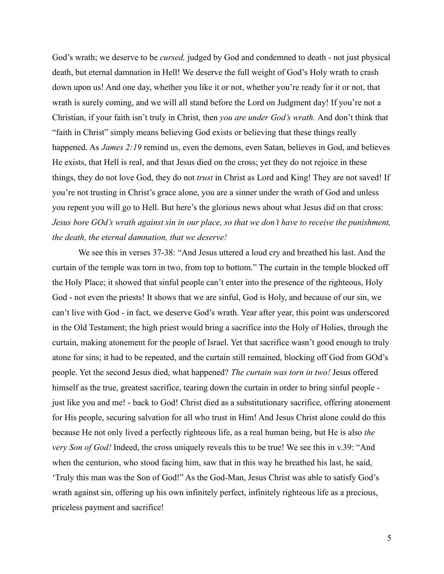God's wrath; we deserve to be *cursed,* judged by God and condemned to death - not just physical death, but eternal damnation in Hell! We deserve the full weight of God's Holy wrath to crash down upon us! And one day, whether you like it or not, whether you're ready for it or not, that wrath is surely coming, and we will all stand before the Lord on Judgment day! If you're not a Christian, if your faith isn't truly in Christ, then *you are under God's wrath.* And don't think that "faith in Christ" simply means believing God exists or believing that these things really happened. As *James 2:19* remind us, even the demons, even Satan, believes in God, and believes He exists, that Hell is real, and that Jesus died on the cross; yet they do not rejoice in these things, they do not love God, they do not *trust* in Christ as Lord and King! They are not saved! If you're not trusting in Christ's grace alone, you are a sinner under the wrath of God and unless you repent you will go to Hell. But here's the glorious news about what Jesus did on that cross: *Jesus bore GOd's wrath against sin in our place, so that we don't have to receive the punishment, the death, the eternal damnation, that we deserve!*

We see this in verses 37-38: "And Jesus uttered a loud cry and breathed his last. And the curtain of the temple was torn in two, from top to bottom." The curtain in the temple blocked off the Holy Place; it showed that sinful people can't enter into the presence of the righteous, Holy God - not even the priests! It shows that we are sinful, God is Holy, and because of our sin, we can't live with God - in fact, we deserve God's wrath. Year after year, this point was underscored in the Old Testament; the high priest would bring a sacrifice into the Holy of Holies, through the curtain, making atonement for the people of Israel. Yet that sacrifice wasn't good enough to truly atone for sins; it had to be repeated, and the curtain still remained, blocking off God from GOd's people. Yet the second Jesus died, what happened? *The curtain was torn in two!* Jesus offered himself as the true, greatest sacrifice, tearing down the curtain in order to bring sinful people just like you and me! - back to God! Christ died as a substitutionary sacrifice, offering atonement for His people, securing salvation for all who trust in Him! And Jesus Christ alone could do this because He not only lived a perfectly righteous life, as a real human being, but He is also *the very Son of God!* Indeed, the cross uniquely reveals this to be true! We see this in v.39: "And when the centurion, who stood facing him, saw that in this way he breathed his last, he said, 'Truly this man was the Son of God!" As the God-Man, Jesus Christ was able to satisfy God's wrath against sin, offering up his own infinitely perfect, infinitely righteous life as a precious, priceless payment and sacrifice!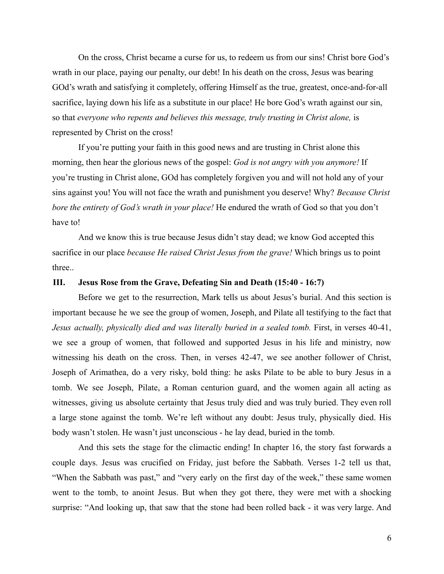On the cross, Christ became a curse for us, to redeem us from our sins! Christ bore God's wrath in our place, paying our penalty, our debt! In his death on the cross, Jesus was bearing GOd's wrath and satisfying it completely, offering Himself as the true, greatest, once-and-for-all sacrifice, laying down his life as a substitute in our place! He bore God's wrath against our sin, so that *everyone who repents and believes this message, truly trusting in Christ alone,* is represented by Christ on the cross!

If you're putting your faith in this good news and are trusting in Christ alone this morning, then hear the glorious news of the gospel: *God is not angry with you anymore!* If you're trusting in Christ alone, GOd has completely forgiven you and will not hold any of your sins against you! You will not face the wrath and punishment you deserve! Why? *Because Christ bore the entirety of God's wrath in your place!* He endured the wrath of God so that you don't have to!

And we know this is true because Jesus didn't stay dead; we know God accepted this sacrifice in our place *because He raised Christ Jesus from the grave!* Which brings us to point three..

## **III. Jesus Rose from the Grave, Defeating Sin and Death (15:40 - 16:7)**

Before we get to the resurrection, Mark tells us about Jesus's burial. And this section is important because he we see the group of women, Joseph, and Pilate all testifying to the fact that *Jesus actually, physically died and was literally buried in a sealed tomb.* First, in verses 40-41, we see a group of women, that followed and supported Jesus in his life and ministry, now witnessing his death on the cross. Then, in verses 42-47, we see another follower of Christ, Joseph of Arimathea, do a very risky, bold thing: he asks Pilate to be able to bury Jesus in a tomb. We see Joseph, Pilate, a Roman centurion guard, and the women again all acting as witnesses, giving us absolute certainty that Jesus truly died and was truly buried. They even roll a large stone against the tomb. We're left without any doubt: Jesus truly, physically died. His body wasn't stolen. He wasn't just unconscious - he lay dead, buried in the tomb.

And this sets the stage for the climactic ending! In chapter 16, the story fast forwards a couple days. Jesus was crucified on Friday, just before the Sabbath. Verses 1-2 tell us that, "When the Sabbath was past," and "very early on the first day of the week," these same women went to the tomb, to anoint Jesus. But when they got there, they were met with a shocking surprise: "And looking up, that saw that the stone had been rolled back - it was very large. And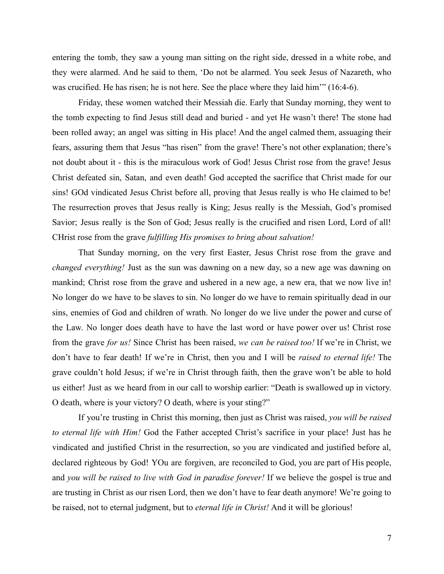entering the tomb, they saw a young man sitting on the right side, dressed in a white robe, and they were alarmed. And he said to them, 'Do not be alarmed. You seek Jesus of Nazareth, who was crucified. He has risen; he is not here. See the place where they laid him'" (16:4-6).

Friday, these women watched their Messiah die. Early that Sunday morning, they went to the tomb expecting to find Jesus still dead and buried - and yet He wasn't there! The stone had been rolled away; an angel was sitting in His place! And the angel calmed them, assuaging their fears, assuring them that Jesus "has risen" from the grave! There's not other explanation; there's not doubt about it - this is the miraculous work of God! Jesus Christ rose from the grave! Jesus Christ defeated sin, Satan, and even death! God accepted the sacrifice that Christ made for our sins! GOd vindicated Jesus Christ before all, proving that Jesus really is who He claimed to be! The resurrection proves that Jesus really is King; Jesus really is the Messiah, God's promised Savior; Jesus really is the Son of God; Jesus really is the crucified and risen Lord, Lord of all! CHrist rose from the grave *fulfilling His promises to bring about salvation!*

That Sunday morning, on the very first Easter, Jesus Christ rose from the grave and *changed everything!* Just as the sun was dawning on a new day, so a new age was dawning on mankind; Christ rose from the grave and ushered in a new age, a new era, that we now live in! No longer do we have to be slaves to sin. No longer do we have to remain spiritually dead in our sins, enemies of God and children of wrath. No longer do we live under the power and curse of the Law. No longer does death have to have the last word or have power over us! Christ rose from the grave *for us!* Since Christ has been raised, *we can be raised too!* If we're in Christ, we don't have to fear death! If we're in Christ, then you and I will be *raised to eternal life!* The grave couldn't hold Jesus; if we're in Christ through faith, then the grave won't be able to hold us either! Just as we heard from in our call to worship earlier: "Death is swallowed up in victory. O death, where is your victory? O death, where is your sting?"

If you're trusting in Christ this morning, then just as Christ was raised, *you will be raised to eternal life with Him!* God the Father accepted Christ's sacrifice in your place! Just has he vindicated and justified Christ in the resurrection, so you are vindicated and justified before al, declared righteous by God! YOu are forgiven, are reconciled to God, you are part of His people, and *you will be raised to live with God in paradise forever!* If we believe the gospel is true and are trusting in Christ as our risen Lord, then we don't have to fear death anymore! We're going to be raised, not to eternal judgment, but to *eternal life in Christ!* And it will be glorious!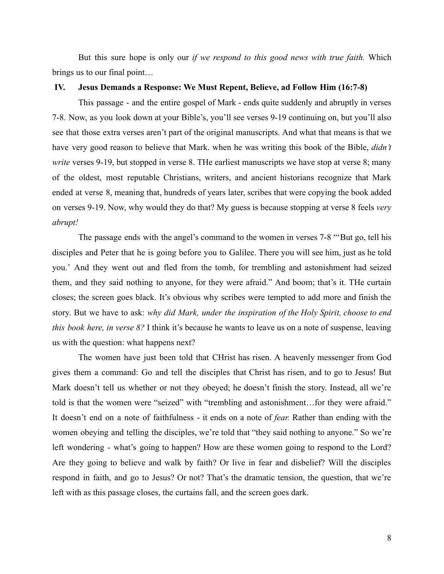But this sure hope is only our *if we respond to this good news with true faith.* Which brings us to our final point…

### **IV. Jesus Demands a Response: We Must Repent, Believe, ad Follow Him (16:7-8)**

This passage - and the entire gospel of Mark - ends quite suddenly and abruptly in verses 7-8. Now, as you look down at your Bible's, you'll see verses 9-19 continuing on, but you'll also see that those extra verses aren't part of the original manuscripts. And what that means is that we have very good reason to believe that Mark. when he was writing this book of the Bible, *didn't write* verses 9-19, but stopped in verse 8. THe earliest manuscripts we have stop at verse 8; many of the oldest, most reputable Christians, writers, and ancient historians recognize that Mark ended at verse 8, meaning that, hundreds of years later, scribes that were copying the book added on verses 9-19. Now, why would they do that? My guess is because stopping at verse 8 feels *very abrupt!*

The passage ends with the angel's command to the women in verses 7-8 "'But go, tell his disciples and Peter that he is going before you to Galilee. There you will see him, just as he told you.' And they went out and fled from the tomb, for trembling and astonishment had seized them, and they said nothing to anyone, for they were afraid." And boom; that's it. THe curtain closes; the screen goes black. It's obvious why scribes were tempted to add more and finish the story. But we have to ask: *why did Mark, under the inspiration of the Holy Spirit, choose to end this book here, in verse 8?* I think it's because he wants to leave us on a note of suspense, leaving us with the question: what happens next?

The women have just been told that CHrist has risen. A heavenly messenger from God gives them a command: Go and tell the disciples that Christ has risen, and to go to Jesus! But Mark doesn't tell us whether or not they obeyed; he doesn't finish the story. Instead, all we're told is that the women were "seized" with "trembling and astonishment…for they were afraid." It doesn't end on a note of faithfulness - it ends on a note of *fear.* Rather than ending with the women obeying and telling the disciples, we're told that "they said nothing to anyone." So we're left wondering - what's going to happen? How are these women going to respond to the Lord? Are they going to believe and walk by faith? Or live in fear and disbelief? Will the disciples respond in faith, and go to Jesus? Or not? That's the dramatic tension, the question, that we're left with as this passage closes, the curtains fall, and the screen goes dark.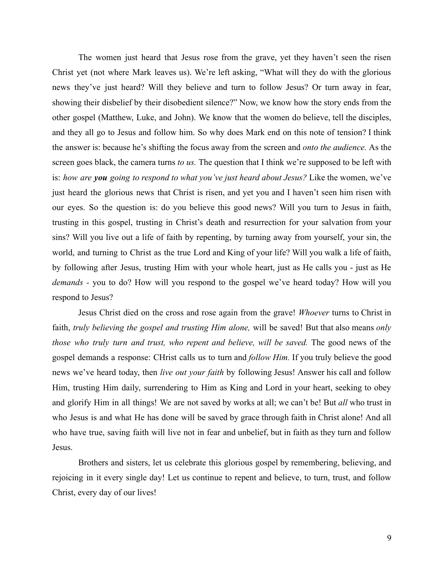The women just heard that Jesus rose from the grave, yet they haven't seen the risen Christ yet (not where Mark leaves us). We're left asking, "What will they do with the glorious news they've just heard? Will they believe and turn to follow Jesus? Or turn away in fear, showing their disbelief by their disobedient silence?" Now, we know how the story ends from the other gospel (Matthew, Luke, and John). We know that the women do believe, tell the disciples, and they all go to Jesus and follow him. So why does Mark end on this note of tension? I think the answer is: because he's shifting the focus away from the screen and *onto the audience.* As the screen goes black, the camera turns *to us.* The question that I think we're supposed to be left with is: *how are you going to respond to what you've just heard about Jesus?* Like the women, we've just heard the glorious news that Christ is risen, and yet you and I haven't seen him risen with our eyes. So the question is: do you believe this good news? Will you turn to Jesus in faith, trusting in this gospel, trusting in Christ's death and resurrection for your salvation from your sins? Will you live out a life of faith by repenting, by turning away from yourself, your sin, the world, and turning to Christ as the true Lord and King of your life? Will you walk a life of faith, by following after Jesus, trusting Him with your whole heart, just as He calls you - just as He *demands -* you to do? How will you respond to the gospel we've heard today? How will you respond to Jesus?

Jesus Christ died on the cross and rose again from the grave! *Whoever* turns to Christ in faith, *truly believing the gospel and trusting Him alone,* will be saved! But that also means *only those who truly turn and trust, who repent and believe, will be saved.* The good news of the gospel demands a response: CHrist calls us to turn and *follow Him.* If you truly believe the good news we've heard today, then *live out your faith* by following Jesus! Answer his call and follow Him, trusting Him daily, surrendering to Him as King and Lord in your heart, seeking to obey and glorify Him in all things! We are not saved by works at all; we can't be! But *all* who trust in who Jesus is and what He has done will be saved by grace through faith in Christ alone! And all who have true, saving faith will live not in fear and unbelief, but in faith as they turn and follow Jesus.

Brothers and sisters, let us celebrate this glorious gospel by remembering, believing, and rejoicing in it every single day! Let us continue to repent and believe, to turn, trust, and follow Christ, every day of our lives!